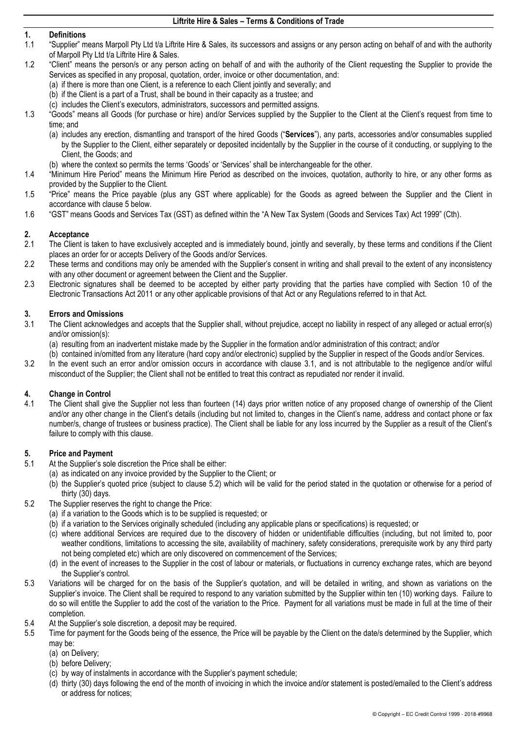# **1. Definitions**

- 1.1 "Supplier" means Marpoll Pty Ltd t/a Liftrite Hire & Sales, its successors and assigns or any person acting on behalf of and with the authority of Marpoll Pty Ltd t/a Liftrite Hire & Sales.
- 1.2 "Client" means the person/s or any person acting on behalf of and with the authority of the Client requesting the Supplier to provide the Services as specified in any proposal, quotation, order, invoice or other documentation, and:
	- (a) if there is more than one Client, is a reference to each Client jointly and severally; and
	- (b) if the Client is a part of a Trust, shall be bound in their capacity as a trustee; and
	- (c) includes the Client's executors, administrators, successors and permitted assigns.
- 1.3 "Goods" means all Goods (for purchase or hire) and/or Services supplied by the Supplier to the Client at the Client's request from time to time; and
	- (a) includes any erection, dismantling and transport of the hired Goods ("**Services**"), any parts, accessories and/or consumables supplied by the Supplier to the Client, either separately or deposited incidentally by the Supplier in the course of it conducting, or supplying to the Client, the Goods; and
	- (b) where the context so permits the terms 'Goods' or 'Services' shall be interchangeable for the other.
- 1.4 "Minimum Hire Period" means the Minimum Hire Period as described on the invoices, quotation, authority to hire, or any other forms as provided by the Supplier to the Client.
- 1.5 "Price" means the Price payable (plus any GST where applicable) for the Goods as agreed between the Supplier and the Client in accordance with clause [5 b](#page-0-0)elow.
- 1.6 "GST" means Goods and Services Tax (GST) as defined within the "A New Tax System (Goods and Services Tax) Act 1999" (Cth).

# **2. Acceptance**

- The Client is taken to have exclusively accepted and is immediately bound, jointly and severally, by these terms and conditions if the Client places an order for or accepts Delivery of the Goods and/or Services.
- 2.2 These terms and conditions may only be amended with the Supplier's consent in writing and shall prevail to the extent of any inconsistency with any other document or agreement between the Client and the Supplier.
- 2.3 Electronic signatures shall be deemed to be accepted by either party providing that the parties have complied with Section 10 of the Electronic Transactions Act 2011 or any other applicable provisions of that Act or any Regulations referred to in that Act.

### **3. Errors and Omissions**

<span id="page-0-1"></span>3.1 The Client acknowledges and accepts that the Supplier shall, without prejudice, accept no liability in respect of any alleged or actual error(s) and/or omission(s):

(a) resulting from an inadvertent mistake made by the Supplier in the formation and/or administration of this contract; and/or

(b) contained in/omitted from any literature (hard copy and/or electronic) supplied by the Supplier in respect of the Goods and/or Services.

3.2 In the event such an error and/or omission occurs in accordance with clause [3.1,](#page-0-1) and is not attributable to the negligence and/or wilful misconduct of the Supplier; the Client shall not be entitled to treat this contract as repudiated nor render it invalid.

# **4. Change in Control**

The Client shall give the Supplier not less than fourteen (14) days prior written notice of any proposed change of ownership of the Client and/or any other change in the Client's details (including but not limited to, changes in the Client's name, address and contact phone or fax number/s, change of trustees or business practice). The Client shall be liable for any loss incurred by the Supplier as a result of the Client's failure to comply with this clause.

## <span id="page-0-0"></span>**5. Price and Payment**

- At the Supplier's sole discretion the Price shall be either:
	- (a) as indicated on any invoice provided by the Supplier to the Client; or
	- (b) the Supplier's quoted price (subject to clause [5.2\)](#page-0-2) which will be valid for the period stated in the quotation or otherwise for a period of thirty (30) days.
- <span id="page-0-2"></span>5.2 The Supplier reserves the right to change the Price:
	- (a) if a variation to the Goods which is to be supplied is requested; or
	- (b) if a variation to the Services originally scheduled (including any applicable plans or specifications) is requested; or
	- (c) where additional Services are required due to the discovery of hidden or unidentifiable difficulties (including, but not limited to, poor weather conditions, limitations to accessing the site, availability of machinery, safety considerations, prerequisite work by any third party not being completed etc) which are only discovered on commencement of the Services;
	- (d) in the event of increases to the Supplier in the cost of labour or materials, or fluctuations in currency exchange rates, which are beyond the Supplier's control.
- 5.3 Variations will be charged for on the basis of the Supplier's quotation, and will be detailed in writing, and shown as variations on the Supplier's invoice. The Client shall be required to respond to any variation submitted by the Supplier within ten (10) working days. Failure to do so will entitle the Supplier to add the cost of the variation to the Price. Payment for all variations must be made in full at the time of their completion.
- 5.4 At the Supplier's sole discretion, a deposit may be required.<br>5.5 Time for payment for the Goods being of the essence, the P
	- Time for payment for the Goods being of the essence, the Price will be payable by the Client on the date/s determined by the Supplier, which may be:

(a) on Delivery;

- (b) before Delivery;
- (c) by way of instalments in accordance with the Supplier's payment schedule;
- (d) thirty (30) days following the end of the month of invoicing in which the invoice and/or statement is posted/emailed to the Client's address or address for notices;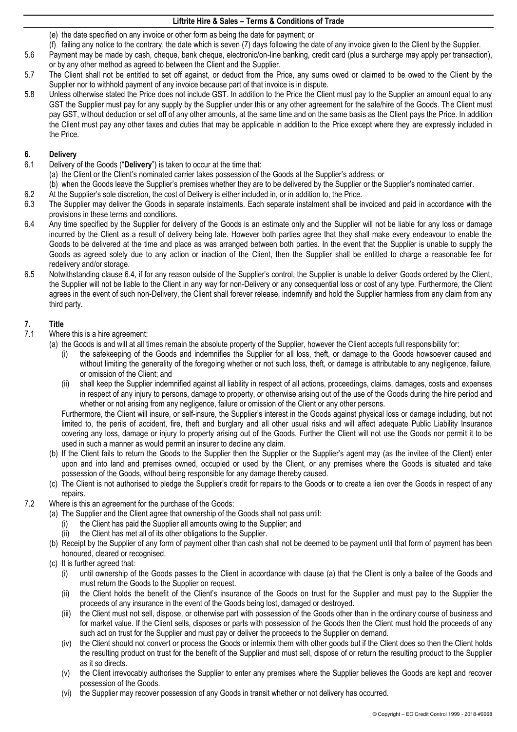- (e) the date specified on any invoice or other form as being the date for payment; or
- (f) failing any notice to the contrary, the date which is seven (7) days following the date of any invoice given to the Client by the Supplier.
- 5.6 Payment may be made by cash, cheque, bank cheque, electronic/on-line banking, credit card (plus a surcharge may apply per transaction), or by any other method as agreed to between the Client and the Supplier.
- 5.7 The Client shall not be entitled to set off against, or deduct from the Price, any sums owed or claimed to be owed to the Client by the Supplier nor to withhold payment of any invoice because part of that invoice is in dispute.
- 5.8 Unless otherwise stated the Price does not include GST. In addition to the Price the Client must pay to the Supplier an amount equal to any GST the Supplier must pay for any supply by the Supplier under this or any other agreement for the sale/hire of the Goods. The Client must pay GST, without deduction or set off of any other amounts, at the same time and on the same basis as the Client pays the Price. In addition the Client must pay any other taxes and duties that may be applicable in addition to the Price except where they are expressly included in the Price.

# **6. Delivery**

- 6.1 Delivery of the Goods ("**Delivery**") is taken to occur at the time that:
- (a) the Client or the Client's nominated carrier takes possession of the Goods at the Supplier's address; or
- (b) when the Goods leave the Supplier's premises whether they are to be delivered by the Supplier or the Supplier's nominated carrier.
- 6.2 At the Supplier's sole discretion, the cost of Delivery is either included in, or in addition to, the Price.
- 6.3 The Supplier may deliver the Goods in separate instalments. Each separate instalment shall be invoiced and paid in accordance with the provisions in these terms and conditions.
- <span id="page-1-0"></span>6.4 Any time specified by the Supplier for delivery of the Goods is an estimate only and the Supplier will not be liable for any loss or damage incurred by the Client as a result of delivery being late. However both parties agree that they shall make every endeavour to enable the Goods to be delivered at the time and place as was arranged between both parties. In the event that the Supplier is unable to supply the Goods as agreed solely due to any action or inaction of the Client, then the Supplier shall be entitled to charge a reasonable fee for redelivery and/or storage.
- <span id="page-1-2"></span>6.5 Notwithstanding clause [6.4](#page-1-0), if for any reason outside of the Supplier's control, the Supplier is unable to deliver Goods ordered by the Client, the Supplier will not be liable to the Client in any way for non-Delivery or any consequential loss or cost of any type. Furthermore, the Client agrees in the event of such non-Delivery, the Client shall forever release, indemnify and hold the Supplier harmless from any claim from any third party.

### **7. Title**

- 7.1 Where this is a hire agreement:
	- (a) the Goods is and will at all times remain the absolute property of the Supplier, however the Client accepts full responsibility for:
		- (i) the safekeeping of the Goods and indemnifies the Supplier for all loss, theft, or damage to the Goods howsoever caused and without limiting the generality of the foregoing whether or not such loss, theft, or damage is attributable to any negligence, failure, or omission of the Client; and
		- (ii) shall keep the Supplier indemnified against all liability in respect of all actions, proceedings, claims, damages, costs and expenses in respect of any injury to persons, damage to property, or otherwise arising out of the use of the Goods during the hire period and whether or not arising from any negligence, failure or omission of the Client or any other persons.

Furthermore, the Client will insure, or self-insure, the Supplier's interest in the Goods against physical loss or damage including, but not limited to, the perils of accident, fire, theft and burglary and all other usual risks and will affect adequate Public Liability Insurance covering any loss, damage or injury to property arising out of the Goods. Further the Client will not use the Goods nor permit it to be used in such a manner as would permit an insurer to decline any claim.

- (b) If the Client fails to return the Goods to the Supplier then the Supplier or the Supplier's agent may (as the invitee of the Client) enter upon and into land and premises owned, occupied or used by the Client, or any premises where the Goods is situated and take possession of the Goods, without being responsible for any damage thereby caused.
- (c) The Client is not authorised to pledge the Supplier's credit for repairs to the Goods or to create a lien over the Goods in respect of any repairs.
- <span id="page-1-1"></span>7.2 Where is this an agreement for the purchase of the Goods:
	- (a) The Supplier and the Client agree that ownership of the Goods shall not pass until:
		- (i) the Client has paid the Supplier all amounts owing to the Supplier; and
		- (ii) the Client has met all of its other obligations to the Supplier.
	- (b) Receipt by the Supplier of any form of payment other than cash shall not be deemed to be payment until that form of payment has been honoured, cleared or recognised.
	- (c) It is further agreed that:
		- (i) until ownership of the Goods passes to the Client in accordance with clause [\(a\)](#page-1-1) that the Client is only a bailee of the Goods and must return the Goods to the Supplier on request.
		- (ii) the Client holds the benefit of the Client's insurance of the Goods on trust for the Supplier and must pay to the Supplier the proceeds of any insurance in the event of the Goods being lost, damaged or destroyed.
		- (iii) the Client must not sell, dispose, or otherwise part with possession of the Goods other than in the ordinary course of business and for market value. If the Client sells, disposes or parts with possession of the Goods then the Client must hold the proceeds of any such act on trust for the Supplier and must pay or deliver the proceeds to the Supplier on demand.
		- (iv) the Client should not convert or process the Goods or intermix them with other goods but if the Client does so then the Client holds the resulting product on trust for the benefit of the Supplier and must sell, dispose of or return the resulting product to the Supplier as it so directs.
		- (v) the Client irrevocably authorises the Supplier to enter any premises where the Supplier believes the Goods are kept and recover possession of the Goods.
		- (vi) the Supplier may recover possession of any Goods in transit whether or not delivery has occurred.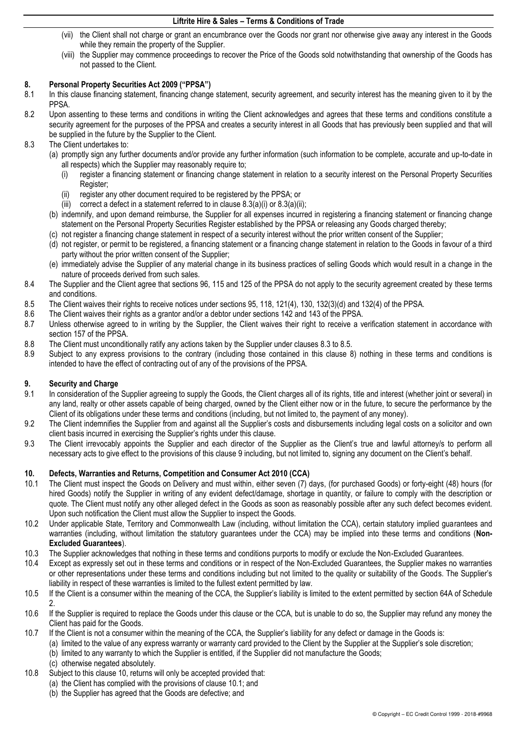- (vii) the Client shall not charge or grant an encumbrance over the Goods nor grant nor otherwise give away any interest in the Goods while they remain the property of the Supplier.
- (viii) the Supplier may commence proceedings to recover the Price of the Goods sold notwithstanding that ownership of the Goods has not passed to the Client.

# <span id="page-2-4"></span>**8. Personal Property Securities Act 2009 ("PPSA")**

- In this clause financing statement, financing change statement, security agreement, and security interest has the meaning given to it by the PPSA.
- 8.2 Upon assenting to these terms and conditions in writing the Client acknowledges and agrees that these terms and conditions constitute a security agreement for the purposes of the PPSA and creates a security interest in all Goods that has previously been supplied and that will be supplied in the future by the Supplier to the Client.
- <span id="page-2-2"></span><span id="page-2-1"></span><span id="page-2-0"></span>8.3 The Client undertakes to:
	- (a) promptly sign any further documents and/or provide any further information (such information to be complete, accurate and up-to-date in all respects) which the Supplier may reasonably require to;
		- (i) register a financing statement or financing change statement in relation to a security interest on the Personal Property Securities Register;
		- (ii) register any other document required to be registered by the PPSA; or
		- (iii) correct a defect in a statement referred to in clause  $8.3(a)(i)$  or  $8.3(a)(ii)$ ;
	- (b) indemnify, and upon demand reimburse, the Supplier for all expenses incurred in registering a financing statement or financing change statement on the Personal Property Securities Register established by the PPSA or releasing any Goods charged thereby;
	- (c) not register a financing change statement in respect of a security interest without the prior written consent of the Supplier;
	- (d) not register, or permit to be registered, a financing statement or a financing change statement in relation to the Goods in favour of a third party without the prior written consent of the Supplier;
	- (e) immediately advise the Supplier of any material change in its business practices of selling Goods which would result in a change in the nature of proceeds derived from such sales.
- 8.4 The Supplier and the Client agree that sections 96, 115 and 125 of the PPSA do not apply to the security agreement created by these terms and conditions.
- <span id="page-2-3"></span>8.5 The Client waives their rights to receive notices under sections 95, 118, 121(4), 130, 132(3)(d) and 132(4) of the PPSA.
- 8.6 The Client waives their rights as a grantor and/or a debtor under sections 142 and 143 of the PPSA.
- 8.7 Unless otherwise agreed to in writing by the Supplier, the Client waives their right to receive a verification statement in accordance with section 157 of the PPSA.
- 8.8 The Client must unconditionally ratify any actions taken by the Supplier under clauses [8.3](#page-2-0) to [8.5.](#page-2-3)
- 8.9 Subject to any express provisions to the contrary (including those contained in this clause [8\)](#page-2-4) nothing in these terms and conditions is intended to have the effect of contracting out of any of the provisions of the PPSA.

# <span id="page-2-5"></span>**9. Security and Charge**

- In consideration of the Supplier agreeing to supply the Goods, the Client charges all of its rights, title and interest (whether joint or several) in any land, realty or other assets capable of being charged, owned by the Client either now or in the future, to secure the performance by the Client of its obligations under these terms and conditions (including, but not limited to, the payment of any money).
- 9.2 The Client indemnifies the Supplier from and against all the Supplier's costs and disbursements including legal costs on a solicitor and own client basis incurred in exercising the Supplier's rights under this clause.
- 9.3 The Client irrevocably appoints the Supplier and each director of the Supplier as the Client's true and lawful attorney/s to perform all necessary acts to give effect to the provisions of this claus[e 9](#page-2-5) including, but not limited to, signing any document on the Client's behalf.

### <span id="page-2-6"></span>**10. Defects, Warranties and Returns, Competition and Consumer Act 2010 (CCA)**

- <span id="page-2-7"></span>10.1 The Client must inspect the Goods on Delivery and must within, either seven (7) days, (for purchased Goods) or forty-eight (48) hours (for hired Goods) notify the Supplier in writing of any evident defect/damage, shortage in quantity, or failure to comply with the description or quote. The Client must notify any other alleged defect in the Goods as soon as reasonably possible after any such defect becomes evident. Upon such notification the Client must allow the Supplier to inspect the Goods.
- 10.2 Under applicable State, Territory and Commonwealth Law (including, without limitation the CCA), certain statutory implied guarantees and warranties (including, without limitation the statutory guarantees under the CCA) may be implied into these terms and conditions (**Non-Excluded Guarantees**).
- 10.3 The Supplier acknowledges that nothing in these terms and conditions purports to modify or exclude the Non-Excluded Guarantees.
- 10.4 Except as expressly set out in these terms and conditions or in respect of the Non-Excluded Guarantees, the Supplier makes no warranties or other representations under these terms and conditions including but not limited to the quality or suitability of the Goods. The Supplier's liability in respect of these warranties is limited to the fullest extent permitted by law.
- 10.5 If the Client is a consumer within the meaning of the CCA, the Supplier's liability is limited to the extent permitted by section 64A of Schedule 2.
- 10.6 If the Supplier is required to replace the Goods under this clause or the CCA, but is unable to do so, the Supplier may refund any money the Client has paid for the Goods.
- 10.7 If the Client is not a consumer within the meaning of the CCA, the Supplier's liability for any defect or damage in the Goods is:
	- (a) limited to the value of any express warranty or warranty card provided to the Client by the Supplier at the Supplier's sole discretion;
	- (b) limited to any warranty to which the Supplier is entitled, if the Supplier did not manufacture the Goods;
	- (c) otherwise negated absolutely.
- <span id="page-2-8"></span>10.8 Subject to this clause [10,](#page-2-6) returns will only be accepted provided that:
	- (a) the Client has complied with the provisions of clause [10.1;](#page-2-7) and
	- (b) the Supplier has agreed that the Goods are defective; and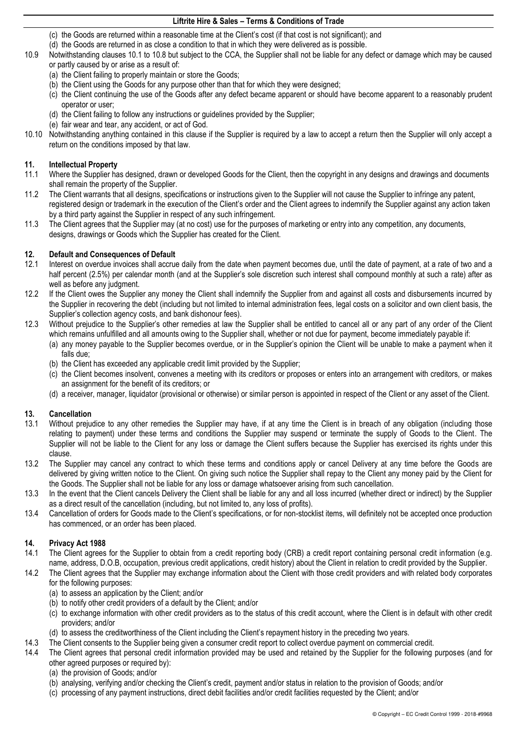- (c) the Goods are returned within a reasonable time at the Client's cost (if that cost is not significant); and
- (d) the Goods are returned in as close a condition to that in which they were delivered as is possible.
- 10.9 Notwithstanding clause[s 10.1](#page-2-7) to [10.8 b](#page-2-8)ut subject to the CCA, the Supplier shall not be liable for any defect or damage which may be caused or partly caused by or arise as a result of:
	- (a) the Client failing to properly maintain or store the Goods;
	- (b) the Client using the Goods for any purpose other than that for which they were designed;
	- (c) the Client continuing the use of the Goods after any defect became apparent or should have become apparent to a reasonably prudent operator or user;
	- (d) the Client failing to follow any instructions or guidelines provided by the Supplier;
	- (e) fair wear and tear, any accident, or act of God.
- 10.10 Notwithstanding anything contained in this clause if the Supplier is required by a law to accept a return then the Supplier will only accept a return on the conditions imposed by that law.

### **11. Intellectual Property**

- 11.1 Where the Supplier has designed, drawn or developed Goods for the Client, then the copyright in any designs and drawings and documents shall remain the property of the Supplier.
- 11.2 The Client warrants that all designs, specifications or instructions given to the Supplier will not cause the Supplier to infringe any patent, registered design or trademark in the execution of the Client's order and the Client agrees to indemnify the Supplier against any action taken by a third party against the Supplier in respect of any such infringement.
- 11.3 The Client agrees that the Supplier may (at no cost) use for the purposes of marketing or entry into any competition, any documents, designs, drawings or Goods which the Supplier has created for the Client.

### **12. Default and Consequences of Default**

- 12.1 Interest on overdue invoices shall accrue daily from the date when payment becomes due, until the date of payment, at a rate of two and a half percent (2.5%) per calendar month (and at the Supplier's sole discretion such interest shall compound monthly at such a rate) after as well as before any judgment.
- 12.2 If the Client owes the Supplier any money the Client shall indemnify the Supplier from and against all costs and disbursements incurred by the Supplier in recovering the debt (including but not limited to internal administration fees, legal costs on a solicitor and own client basis, the Supplier's collection agency costs, and bank dishonour fees).
- 12.3 Without prejudice to the Supplier's other remedies at law the Supplier shall be entitled to cancel all or any part of any order of the Client which remains unfulfilled and all amounts owing to the Supplier shall, whether or not due for payment, become immediately payable if:
	- (a) any money payable to the Supplier becomes overdue, or in the Supplier's opinion the Client will be unable to make a payment when it falls due;
	- (b) the Client has exceeded any applicable credit limit provided by the Supplier;
	- (c) the Client becomes insolvent, convenes a meeting with its creditors or proposes or enters into an arrangement with creditors, or makes an assignment for the benefit of its creditors; or
	- (d) a receiver, manager, liquidator (provisional or otherwise) or similar person is appointed in respect of the Client or any asset of the Client.

### **13. Cancellation**

- 13.1 Without prejudice to any other remedies the Supplier may have, if at any time the Client is in breach of any obligation (including those relating to payment) under these terms and conditions the Supplier may suspend or terminate the supply of Goods to the Client. The Supplier will not be liable to the Client for any loss or damage the Client suffers because the Supplier has exercised its rights under this clause.
- 13.2 The Supplier may cancel any contract to which these terms and conditions apply or cancel Delivery at any time before the Goods are delivered by giving written notice to the Client. On giving such notice the Supplier shall repay to the Client any money paid by the Client for the Goods. The Supplier shall not be liable for any loss or damage whatsoever arising from such cancellation.
- 13.3 In the event that the Client cancels Delivery the Client shall be liable for any and all loss incurred (whether direct or indirect) by the Supplier as a direct result of the cancellation (including, but not limited to, any loss of profits).
- 13.4 Cancellation of orders for Goods made to the Client's specifications, or for non-stocklist items, will definitely not be accepted once production has commenced, or an order has been placed.

### **14. Privacy Act 1988**

- <span id="page-3-0"></span>14.1 The Client agrees for the Supplier to obtain from a credit reporting body (CRB) a credit report containing personal credit information (e.g. name, address, D.O.B, occupation, previous credit applications, credit history) about the Client in relation to credit provided by the Supplier.
- 14.2 The Client agrees that the Supplier may exchange information about the Client with those credit providers and with related body corporates for the following purposes:
	- (a) to assess an application by the Client; and/or
	- (b) to notify other credit providers of a default by the Client; and/or
	- (c) to exchange information with other credit providers as to the status of this credit account, where the Client is in default with other credit providers; and/or
	- (d) to assess the creditworthiness of the Client including the Client's repayment history in the preceding two years.
- 14.3 The Client consents to the Supplier being given a consumer credit report to collect overdue payment on commercial credit.
- 14.4 The Client agrees that personal credit information provided may be used and retained by the Supplier for the following purposes (and for other agreed purposes or required by):
	- (a) the provision of Goods; and/or
	- (b) analysing, verifying and/or checking the Client's credit, payment and/or status in relation to the provision of Goods; and/or
	- (c) processing of any payment instructions, direct debit facilities and/or credit facilities requested by the Client; and/or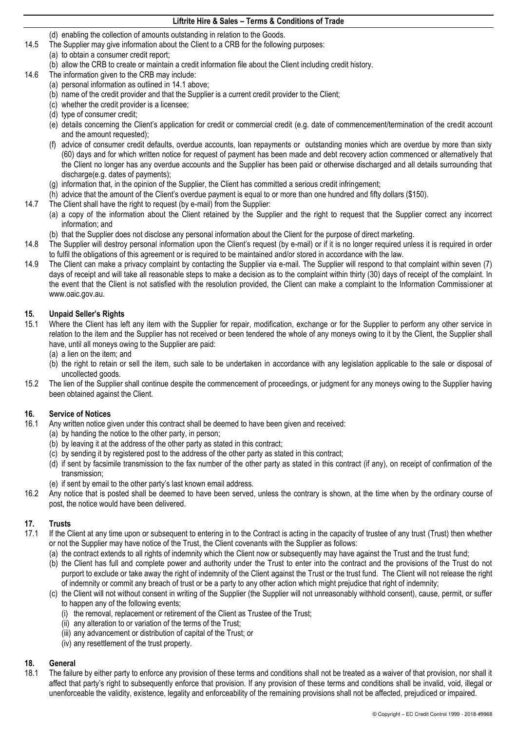(d) enabling the collection of amounts outstanding in relation to the Goods.

- 14.5 The Supplier may give information about the Client to a CRB for the following purposes:
	- (a) to obtain a consumer credit report;
		- (b) allow the CRB to create or maintain a credit information file about the Client including credit history.
- 14.6 The information given to the CRB may include:
	- (a) personal information as outlined in [14.1](#page-3-0) above;
	- (b) name of the credit provider and that the Supplier is a current credit provider to the Client;
	- (c) whether the credit provider is a licensee;
	- (d) type of consumer credit;
	- (e) details concerning the Client's application for credit or commercial credit (e.g. date of commencement/termination of the credit account and the amount requested);
	- (f) advice of consumer credit defaults, overdue accounts, loan repayments or outstanding monies which are overdue by more than sixty (60) days and for which written notice for request of payment has been made and debt recovery action commenced or alternatively that the Client no longer has any overdue accounts and the Supplier has been paid or otherwise discharged and all details surrounding that discharge(e.g. dates of payments);
	- (g) information that, in the opinion of the Supplier, the Client has committed a serious credit infringement;
	- (h) advice that the amount of the Client's overdue payment is equal to or more than one hundred and fifty dollars (\$150).
- 14.7 The Client shall have the right to request (by e-mail) from the Supplier:
	- (a) a copy of the information about the Client retained by the Supplier and the right to request that the Supplier correct any incorrect information; and
	- (b) that the Supplier does not disclose any personal information about the Client for the purpose of direct marketing.
- 14.8 The Supplier will destroy personal information upon the Client's request (by e-mail) or if it is no longer required unless it is required in order to fulfil the obligations of this agreement or is required to be maintained and/or stored in accordance with the law.
- 14.9 The Client can make a privacy complaint by contacting the Supplier via e-mail. The Supplier will respond to that complaint within seven (7) days of receipt and will take all reasonable steps to make a decision as to the complaint within thirty (30) days of receipt of the complaint. In the event that the Client is not satisfied with the resolution provided, the Client can make a complaint to the Information Commissioner at www.oaic.gov.au.

### **15. Unpaid Seller's Rights**

- 15.1 Where the Client has left any item with the Supplier for repair, modification, exchange or for the Supplier to perform any other service in relation to the item and the Supplier has not received or been tendered the whole of any moneys owing to it by the Client, the Supplier shall have, until all moneys owing to the Supplier are paid:
	- (a) a lien on the item; and
	- (b) the right to retain or sell the item, such sale to be undertaken in accordance with any legislation applicable to the sale or disposal of uncollected goods.
- 15.2 The lien of the Supplier shall continue despite the commencement of proceedings, or judgment for any moneys owing to the Supplier having been obtained against the Client.

### **16. Service of Notices**

- 16.1 Any written notice given under this contract shall be deemed to have been given and received:
	- (a) by handing the notice to the other party, in person;
		- (b) by leaving it at the address of the other party as stated in this contract;
		- (c) by sending it by registered post to the address of the other party as stated in this contract;
		- (d) if sent by facsimile transmission to the fax number of the other party as stated in this contract (if any), on receipt of confirmation of the transmission;
		- (e) if sent by email to the other party's last known email address.
- 16.2 Any notice that is posted shall be deemed to have been served, unless the contrary is shown, at the time when by the ordinary course of post, the notice would have been delivered.

### **17. Trusts**

- 17.1 If the Client at any time upon or subsequent to entering in to the Contract is acting in the capacity of trustee of any trust (Trust) then whether or not the Supplier may have notice of the Trust, the Client covenants with the Supplier as follows:
	- (a) the contract extends to all rights of indemnity which the Client now or subsequently may have against the Trust and the trust fund;
	- (b) the Client has full and complete power and authority under the Trust to enter into the contract and the provisions of the Trust do not purport to exclude or take away the right of indemnity of the Client against the Trust or the trust fund. The Client will not release the right of indemnity or commit any breach of trust or be a party to any other action which might prejudice that right of indemnity;
	- (c) the Client will not without consent in writing of the Supplier (the Supplier will not unreasonably withhold consent), cause, permit, or suffer to happen any of the following events;
		- (i) the removal, replacement or retirement of the Client as Trustee of the Trust;
		- (ii) any alteration to or variation of the terms of the Trust;
		- (iii) any advancement or distribution of capital of the Trust; or
		- (iv) any resettlement of the trust property.

### **18. General**

18.1 The failure by either party to enforce any provision of these terms and conditions shall not be treated as a waiver of that provision, nor shall it affect that party's right to subsequently enforce that provision. If any provision of these terms and conditions shall be invalid, void, illegal or unenforceable the validity, existence, legality and enforceability of the remaining provisions shall not be affected, prejudiced or impaired.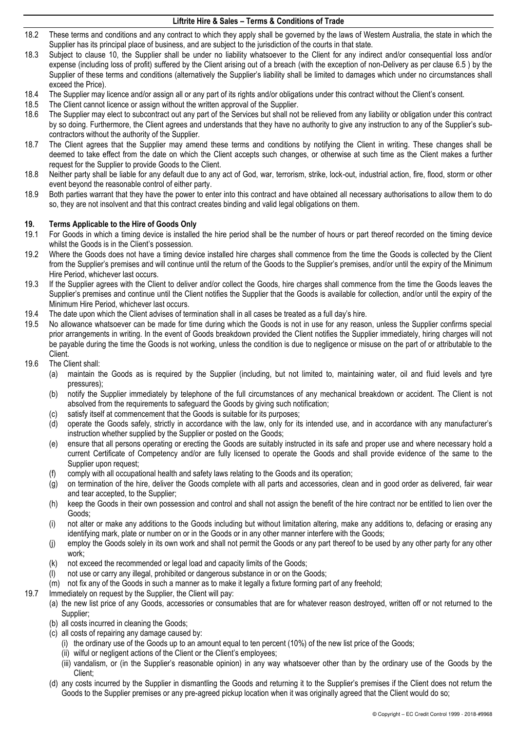- 18.2 These terms and conditions and any contract to which they apply shall be governed by the laws of Western Australia, the state in which the Supplier has its principal place of business, and are subject to the jurisdiction of the courts in that state.
- 18.3 Subject to clause [10,](#page-2-6) the Supplier shall be under no liability whatsoever to the Client for any indirect and/or consequential loss and/or expense (including loss of profit) suffered by the Client arising out of a breach (with the exception of non-Delivery as per clause [6.5](#page-1-2) ) by the Supplier of these terms and conditions (alternatively the Supplier's liability shall be limited to damages which under no circumstances shall exceed the Price).
- 18.4 The Supplier may licence and/or assign all or any part of its rights and/or obligations under this contract without the Client's consent.
- 18.5 The Client cannot licence or assign without the written approval of the Supplier.<br>18.6 The Supplier may elect to subcontract out any part of the Services but shall not
- 18.6 The Supplier may elect to subcontract out any part of the Services but shall not be relieved from any liability or obligation under this contract by so doing. Furthermore, the Client agrees and understands that they have no authority to give any instruction to any of the Supplier's subcontractors without the authority of the Supplier.
- 18.7 The Client agrees that the Supplier may amend these terms and conditions by notifying the Client in writing. These changes shall be deemed to take effect from the date on which the Client accepts such changes, or otherwise at such time as the Client makes a further request for the Supplier to provide Goods to the Client.
- 18.8 Neither party shall be liable for any default due to any act of God, war, terrorism, strike, lock-out, industrial action, fire, flood, storm or other event beyond the reasonable control of either party.
- 18.9 Both parties warrant that they have the power to enter into this contract and have obtained all necessary authorisations to allow them to do so, they are not insolvent and that this contract creates binding and valid legal obligations on them.

# **19. Terms Applicable to the Hire of Goods Only**

- 19.1 For Goods in which a timing device is installed the hire period shall be the number of hours or part thereof recorded on the timing device whilst the Goods is in the Client's possession.
- 19.2 Where the Goods does not have a timing device installed hire charges shall commence from the time the Goods is collected by the Client from the Supplier's premises and will continue until the return of the Goods to the Supplier's premises, and/or until the expiry of the Minimum Hire Period, whichever last occurs.
- 19.3 If the Supplier agrees with the Client to deliver and/or collect the Goods, hire charges shall commence from the time the Goods leaves the Supplier's premises and continue until the Client notifies the Supplier that the Goods is available for collection, and/or until the expiry of the Minimum Hire Period, whichever last occurs.
- 19.4 The date upon which the Client advises of termination shall in all cases be treated as a full day's hire.
- 19.5 No allowance whatsoever can be made for time during which the Goods is not in use for any reason, unless the Supplier confirms special prior arrangements in writing. In the event of Goods breakdown provided the Client notifies the Supplier immediately, hiring charges will not be payable during the time the Goods is not working, unless the condition is due to negligence or misuse on the part of or attributable to the Client.
- 19.6 The Client shall:
	- (a) maintain the Goods as is required by the Supplier (including, but not limited to, maintaining water, oil and fluid levels and tyre pressures);
	- (b) notify the Supplier immediately by telephone of the full circumstances of any mechanical breakdown or accident. The Client is not absolved from the requirements to safeguard the Goods by giving such notification;
	- (c) satisfy itself at commencement that the Goods is suitable for its purposes;
	- (d) operate the Goods safely, strictly in accordance with the law, only for its intended use, and in accordance with any manufacturer's instruction whether supplied by the Supplier or posted on the Goods;
	- (e) ensure that all persons operating or erecting the Goods are suitably instructed in its safe and proper use and where necessary hold a current Certificate of Competency and/or are fully licensed to operate the Goods and shall provide evidence of the same to the Supplier upon request:
	- (f) comply with all occupational health and safety laws relating to the Goods and its operation;
	- (g) on termination of the hire, deliver the Goods complete with all parts and accessories, clean and in good order as delivered, fair wear and tear accepted, to the Supplier;
	- (h) keep the Goods in their own possession and control and shall not assign the benefit of the hire contract nor be entitled to lien over the Goods;
	- (i) not alter or make any additions to the Goods including but without limitation altering, make any additions to, defacing or erasing any identifying mark, plate or number on or in the Goods or in any other manner interfere with the Goods;
	- (j) employ the Goods solely in its own work and shall not permit the Goods or any part thereof to be used by any other party for any other work;
	- (k) not exceed the recommended or legal load and capacity limits of the Goods;
	- (l) not use or carry any illegal, prohibited or dangerous substance in or on the Goods;
	- (m) not fix any of the Goods in such a manner as to make it legally a fixture forming part of any freehold;
- 19.7 Immediately on request by the Supplier, the Client will pay:
	- (a) the new list price of any Goods, accessories or consumables that are for whatever reason destroyed, written off or not returned to the Supplier;
		- (b) all costs incurred in cleaning the Goods;
		- (c) all costs of repairing any damage caused by:
			- (i) the ordinary use of the Goods up to an amount equal to ten percent (10%) of the new list price of the Goods;
			- (ii) wilful or negligent actions of the Client or the Client's employees;
			- (iii) vandalism, or (in the Supplier's reasonable opinion) in any way whatsoever other than by the ordinary use of the Goods by the Client;
		- (d) any costs incurred by the Supplier in dismantling the Goods and returning it to the Supplier's premises if the Client does not return the Goods to the Supplier premises or any pre-agreed pickup location when it was originally agreed that the Client would do so;